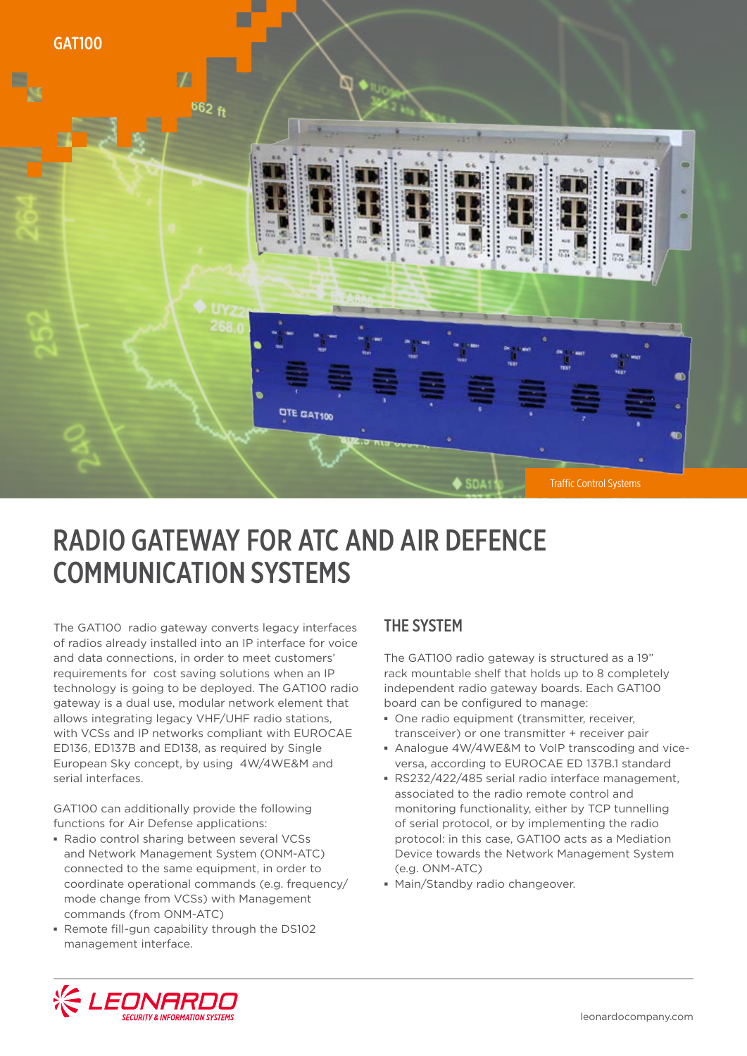

## RADIO GATEWAY FOR ATC AND AIR DEFENCE COMMUNICATION SYSTEMS

The GAT100 radio gateway converts legacy interfaces of radios already installed into an IP interface for voice and data connections, in order to meet customers' requirements for cost saving solutions when an IP technology is going to be deployed. The GAT100 radio gateway is a dual use, modular network element that allows integrating legacy VHF/UHF radio stations, with VCSs and IP networks compliant with EUROCAE ED136, ED137B and ED138, as required by Single European Sky concept, by using 4W/4WE&M and serial interfaces.

GAT100 can additionally provide the following functions for Air Defense applications:

- **▪** Radio control sharing between several VCSs and Network Management System (ONM-ATC) connected to the same equipment, in order to coordinate operational commands (e.g. frequency/ mode change from VCSs) with Management commands (from ONM-ATC)
- **▪** Remote fill-gun capability through the DS102 management interface.

### THE SYSTEM

The GAT100 radio gateway is structured as a 19" rack mountable shelf that holds up to 8 completely independent radio gateway boards. Each GAT100 board can be configured to manage:

- **▪** One radio equipment (transmitter, receiver, transceiver) or one transmitter + receiver pair
- **▪** Analogue 4W/4WE&M to VoIP transcoding and viceversa, according to EUROCAE ED 137B.1 standard
- **▪** RS232/422/485 serial radio interface management, associated to the radio remote control and monitoring functionality, either by TCP tunnelling of serial protocol, or by implementing the radio protocol: in this case, GAT100 acts as a Mediation Device towards the Network Management System (e.g. ONM-ATC)
- **▪** Main/Standby radio changeover.